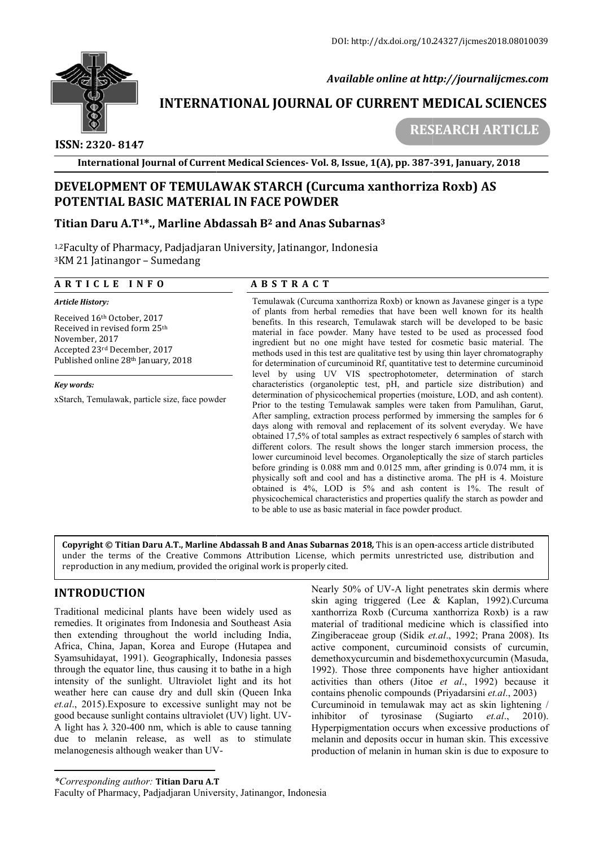

 *Available online at http://journalijcmes.com*

# **INTERNATIONAL JOURNAL OF CURRENT MEDICAL SCIENCES SCIENCES**

 **ISSN: 2320- 8147**

 **RESEARCH ARTICLE**

**International Journal of Current Medical Sciences Sciences- Vol. 8, Issue, 1(A), pp. 387- -391, January, 2018**

# **DEVELOPMENT OF TEMULAWAK STARCH (Curcuma xanthorriza Roxb) AS xanthorriza Roxb) POTENTIAL BASIC MATERIAL IN FACE POWDER**

# **Titian Daru A.T1\*., Marline Abdassah B B2 and Anas Subarnas3**

<sup>1,2</sup>Faculty of Pharmacy, Padjadjaran University, Jatinangor, Indonesia 3KM 21 Jatinangor – Sumedang

### **A R T I C L E I N F O**

#### *Article History:*

Received 16th October, 2017 Received in revised form 25th November, 2017 Accepted 23rd December, 2017 Published online 28th January, 2018

*Key words:*

xStarch, Temulawak, particle size, face powder

## **A B S T R A C T**

Temulawak (Curcuma xanthorriza Roxb) or known as Javanese ginger is a type of plants from herbal remedies that have been well known for its health benefits. In this research, Temulawak starch will be developed to be basic material in face powder. Many have tested to be used as processed food ingredient but no one might have tested for cosmetic basic material. The methods used in this test are qualitative test by using thin layer chromatography for determination of curcuminoid Rf, quantitative test to determine curcuminoid level by using UV VIS spectrophotometer, determination of starch Temulawak (Curcuma xanthorriza Roxb) or known as Javanese ginger is a type<br>of plants from herbal remedies that have been well known for its health<br>benefits. In this research, Temulawak starch will be developed to be basic<br> determination of physicochemical properties (moisture, LOD, and ash content). Prior to the testing Temulawak samples were taken from Pamulihan, Garut, After sampling, extraction process performed by immersing the samples for 6 days along with removal and replacement of its solvent everyday. We have obtained 17,5% of total samples as extract respectively 6 samples of starch with different colors. The result shows the longer starch immersion process, the lower curcuminoid level becomes. Organoleptically the size of starch particles before grinding is 0.088 mm and 0.0125 mm, after grinding is 0.074 mm, it is physically soft and cool and has a distinctive aroma. The pH is 4. Moisture obtained is 4%, LOD is 5% and ash content is 1%. The result of physicochemical characteristics and properties qualify the starch as powder and to be able to use as basic material in face powder product. mination of physicochemical properties (moisture, LOD, and ash content).<br>to the testing Temulawak sampling, extraction process performed by immersing the samples for 6<br>sampling, extraction process performed by immersing t

**Copyright © Titian Daru A.T., Marline Abdassah B and Anas Subarnas 2018, This is an open-access article distributed** under the terms of the Creative Commons Attribution License, which permits unrestricted use, distribution and under the reproduction in any medium, provided the original work is properly cited.

# **INTRODUCTION**

Traditional medicinal plants have been widely used as remedies. It originates from Indonesia and Southeast Asia then extending throughout the world including India, Africa, China, Japan, Korea and Europe (Hutapea and Syamsuhidayat, 1991). Geographically, I Indonesia passes through the equator line, thus causing it to bathe in a high intensity of the sunlight. Ultraviolet light and its hot weather here can cause dry and dull skin (Queen Inka *et.al*., 2015).Exposure to excessive sunlight may not be good because sunlight contains ultraviolet (UV) light. UV-A light has  $\lambda$  320-400 nm, which is able to cause tanning due to melanin release, as well as to stimulate melanogenesis although weaker than UV 400 nm, which is able<br>release, as well  $\iota$ <br>lough weaker than UV-

Nearly 50% of UV-A light penetrates skin dermis where skin aging triggered (Lee & Kaplan, 1992).Curcuma xanthorriza Roxb (Curcuma xanthorriza Roxb) is a raw material of traditional medicine which is classified into Zingiberaceae group (Sidik *et.al.*, 1992; Prana 2008). Its active component, curcuminoid consists of curcumin, demethoxycurcumin and bisdemethoxycurcumin (Masuda, 1992). Those three components have higher antioxidant activities than others (Jitoe *et al*., 1992) because it contains phenolic compounds (Priyadarsini *et.al*., 2003) Curcuminoid in temulawak may act as skin lightening / inhibitor of tyrosinase Hyperpigmentation occurs when excessive productions of melanin and deposits occur in human skin. This excessive Hyperpigmentation occurs when excessive productions of melanin and deposits occur in human skin. This excessive production of melanin in human skin is due to exposure to  $(i)$ inhibitor *et.al.*, 2010).

*\*Corresponding author:* **Titian Daru A.T**

Faculty of Pharmacy, Padjadjaran University, Jatinangor, Indonesia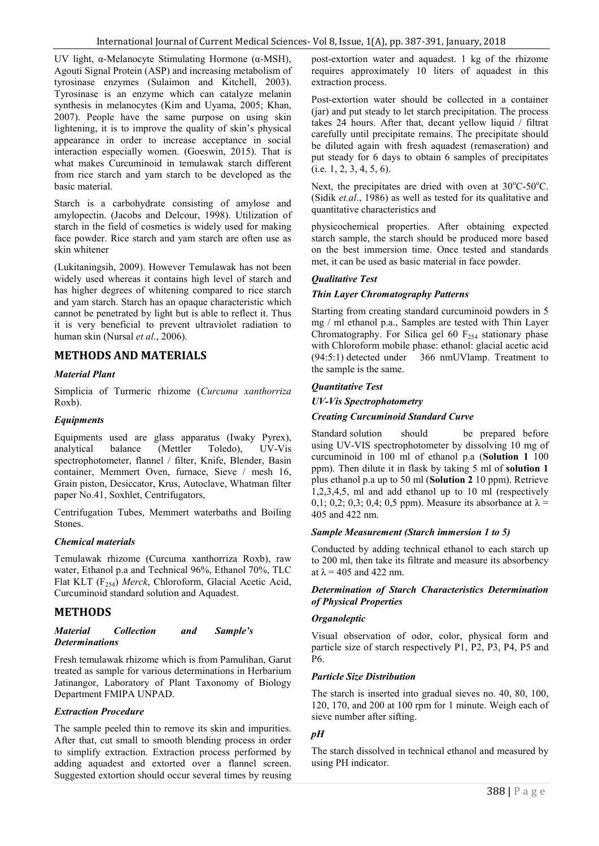UV light, α-Melanocyte Stimulating Hormone (α-MSH), Agouti Signal Protein (ASP) and increasing metabolism of tyrosinase enzymes (Sulaimon and Kitchell, 2003). Tyrosinase is an enzyme which can catalyze melanin synthesis in melanocytes (Kim and Uyama, 2005; Khan, 2007). People have the same purpose on using skin lightening, it is to improve the quality of skin's physical appearance in order to increase acceptance in social interaction especially women. (Goeswin, 2015). That is what makes Curcuminoid in temulawak starch different from rice starch and yam starch to be developed as the basic material.

Starch is a carbohydrate consisting of amylose and amylopectin. (Jacobs and Delcour, 1998). Utilization of starch in the field of cosmetics is widely used for making face powder. Rice starch and yam starch are often use as skin whitener

(Lukitaningsih, 2009). However Temulawak has not been widely used whereas it contains high level of starch and has higher degrees of whitening compared to rice starch and yam starch. Starch has an opaque characteristic which cannot be penetrated by light but is able to reflect it. Thus it is very beneficial to prevent ultraviolet radiation to human skin (Nursal *et al*., 2006).

## **METHODS AND MATERIALS**

### *Material Plant*

Simplicia of Turmeric rhizome (*Curcuma xanthorriza* Roxb).

### *Equipments*

Equipments used are glass apparatus (Iwaky Pyrex),<br>analytical balance (Mettler Toledo) IJV-Vis analytical balance (Mettler Toledo), UV-Vis spectrophotometer, flannel / filter, Knife, Blender, Basin container, Memmert Oven, furnace, Sieve / mesh 16, Grain piston, Desiccator, Krus, Autoclave, Whatman filter paper No.41, Soxhlet, Centrifugators,

Centrifugation Tubes, Memmert waterbaths and Boiling Stones.

### *Chemical materials*

Temulawak rhizome (Curcuma xanthorriza Roxb), raw water, Ethanol p.a and Technical 96%, Ethanol 70%, TLC Flat KLT (F254) *Merck*, Chloroform, Glacial Acetic Acid, Curcuminoid standard solution and Aquadest.

## **METHODS**

#### *Material Collection and Sample's Determinations*

Fresh temulawak rhizome which is from Pamulihan, Garut treated as sample for various determinations in Herbarium Jatinangor, Laboratory of Plant Taxonomy of Biology Department FMIPA UNPAD.

### *Extraction Procedure*

The sample peeled thin to remove its skin and impurities. After that, cut small to smooth blending process in order to simplify extraction. Extraction process performed by adding aquadest and extorted over a flannel screen. Suggested extortion should occur several times by reusing

post-extortion water and aquadest. 1 kg of the rhizome requires approximately 10 liters of aquadest in this extraction process.

Post-extortion water should be collected in a container (jar) and put steady to let starch precipitation. The process takes 24 hours. After that, decant yellow liquid / filtrat carefully until precipitate remains. The precipitate should be diluted again with fresh aquadest (remaseration) and put steady for 6 days to obtain 6 samples of precipitates (i.e. 1, 2, 3, 4, 5, 6).

Next, the precipitates are dried with oven at  $30^{\circ}$ C-50 $^{\circ}$ C. (Sidik *et.al*., 1986) as well as tested for its qualitative and quantitative characteristics and

physicochemical properties. After obtaining expected starch sample, the starch should be produced more based on the best immersion time. Once tested and standards met, it can be used as basic material in face powder.

### *Qualitative Test*

### *Thin Layer Chromatography Patterns*

Starting from creating standard curcuminoid powders in 5 mg / ml ethanol p.a., Samples are tested with Thin Layer Chromatography. For Silica gel 60  $F_{254}$  stationary phase with Chloroform mobile phase: ethanol: glacial acetic acid (94:5:1) detected under 366 nmUVlamp. Treatment to the sample is the same.

#### *Quantitative Test*

### *UV-Vis Spectrophotometry*

### *Creating Curcuminoid Standard Curve*

Standard solution should be prepared before using UV-VIS spectrophotometer by dissolving 10 mg of curcuminoid in 100 ml of ethanol p.a (**Solution 1** 100 ppm). Then dilute it in flask by taking 5 ml of **solution 1** plus ethanol p.a up to 50 ml (**Solution 2** 10 ppm). Retrieve 1,2,3,4,5, ml and add ethanol up to 10 ml (respectively 0,1; 0,2; 0,3; 0,4; 0,5 ppm). Measure its absorbance at  $\lambda$  = 405 and 422 nm.

#### *Sample Measurement (Starch immersion 1 to 5)*

Conducted by adding technical ethanol to each starch up to 200 ml, then take its filtrate and measure its absorbency at  $\lambda$  = 405 and 422 nm.

### *Determination of Starch Characteristics Determination of Physical Properties*

### *Organoleptic*

Visual observation of odor, color, physical form and particle size of starch respectively P1, P2, P3, P4, P5 and P6.

### *Particle Size Distribution*

The starch is inserted into gradual sieves no. 40, 80, 100, 120, 170, and 200 at 100 rpm for 1 minute. Weigh each of sieve number after sifting.

## *pH*

The starch dissolved in technical ethanol and measured by using PH indicator.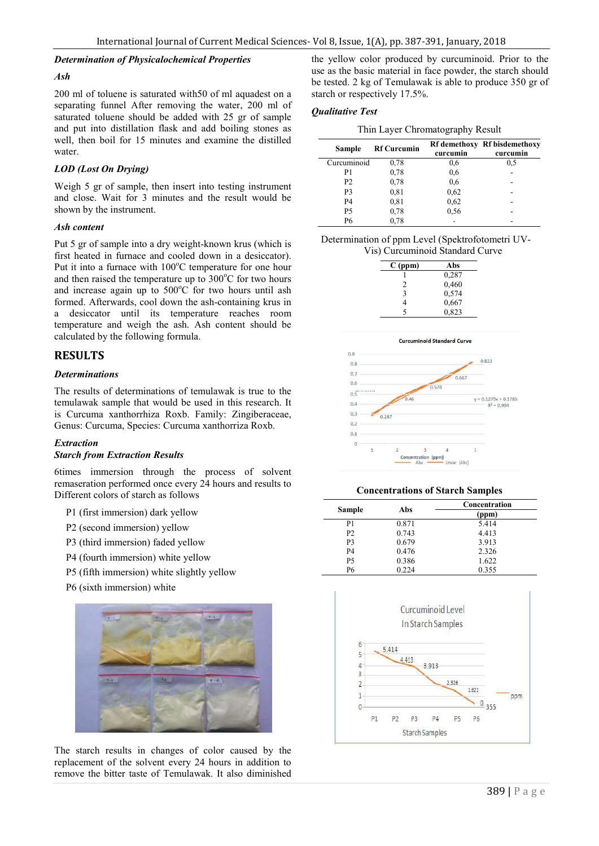#### *Determination of Physicalochemical Properties*

#### *Ash*

200 ml of toluene is saturated with50 of ml aquadest on a separating funnel After removing the water, 200 ml of saturated toluene should be added with 25 gr of sample and put into distillation flask and add boiling stones as well, then boil for 15 minutes and examine the distilled water.

## *LOD (Lost On Drying)*

Weigh 5 gr of sample, then insert into testing instrument and close. Wait for 3 minutes and the result would be shown by the instrument.

#### *Ash content*

Put 5 gr of sample into a dry weight-known krus (which is first heated in furnace and cooled down in a desiccator). Put it into a furnace with 100°C temperature for one hour and then raised the temperature up to  $300^{\circ}$ C for two hours and increase again up to  $500^{\circ}$ C for two hours until ash formed. Afterwards, cool down the ash-containing krus in a desiccator until its temperature reaches room temperature and weigh the ash. Ash content should be calculated by the following formula.

### **RESULTS**

#### *Determinations*

The results of determinations of temulawak is true to the temulawak sample that would be used in this research. It is Curcuma xanthorrhiza Roxb. Family: Zingiberaceae, Genus: Curcuma, Species: Curcuma xanthorriza Roxb.

# *Extraction*

# *Starch from Extraction Results*

6times immersion through the process of solvent remaseration performed once every 24 hours and results to Different colors of starch as follows

- P1 (first immersion) dark yellow
- P2 (second immersion) yellow
- P3 (third immersion) faded yellow
- P4 (fourth immersion) white yellow
- P5 (fifth immersion) white slightly yellow

P6 (sixth immersion) white



The starch results in changes of color caused by the replacement of the solvent every 24 hours in addition to remove the bitter taste of Temulawak. It also diminished the yellow color produced by curcuminoid. Prior to the use as the basic material in face powder, the starch should be tested. 2 kg of Temulawak is able to produce 350 gr of starch or respectively 17.5%.

#### *Qualitative Test*

| Sample         | <b>Rf Curcumin</b> | curcumin | <b>Rf demethoxy</b> Rf bisdemethoxy<br>curcumin |
|----------------|--------------------|----------|-------------------------------------------------|
| Curcuminoid    | 0,78               | 0,6      | 0.5                                             |
| P1             | 0,78               | 0,6      |                                                 |
| P <sub>2</sub> | 0,78               | 0,6      |                                                 |
| P3             | 0,81               | 0,62     |                                                 |
| P4             | 0,81               | 0,62     |                                                 |
| P5             | 0,78               | 0.56     |                                                 |
| P6             | 0.78               |          |                                                 |

Determination of ppm Level (Spektrofotometri UV-Vis) Curcuminoid Standard Curve

| $C$ (ppm) | Abs   |
|-----------|-------|
|           | 0,287 |
| 2         | 0,460 |
| 3         | 0,574 |
| 4         | 0,667 |
| 5         | 0,823 |



#### **Concentrations of Starch Samples**

|                |       | Concentration |  |
|----------------|-------|---------------|--|
| Sample         | Abs   | (ppm)         |  |
| P1             | 0.871 | 5.414         |  |
| P <sub>2</sub> | 0.743 | 4.413         |  |
| P <sub>3</sub> | 0.679 | 3.913         |  |
| <b>P4</b>      | 0.476 | 2.326         |  |
| <b>P5</b>      | 0.386 | 1.622         |  |
| P <sub>6</sub> | 0.224 | 0.355         |  |

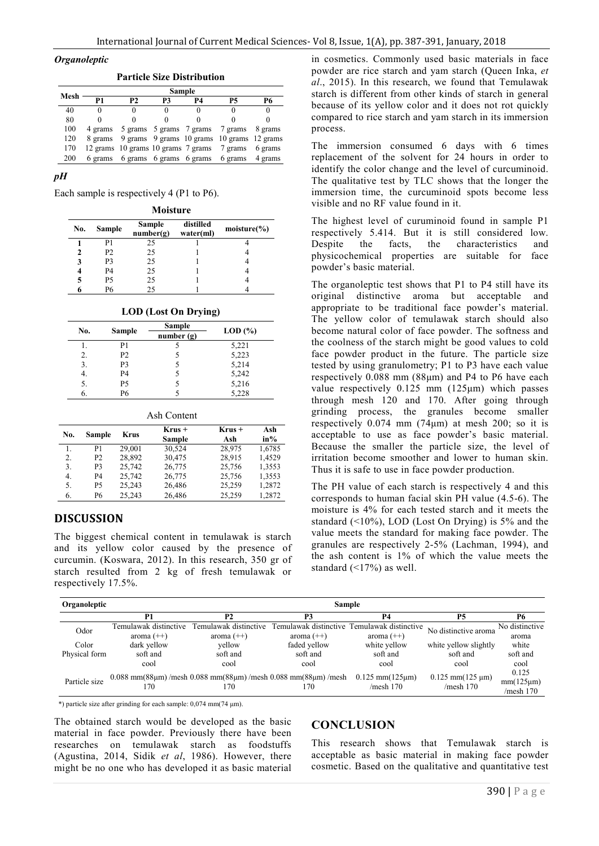*Organoleptic*

|      | Sample |    |           |    |                                                    |    |
|------|--------|----|-----------|----|----------------------------------------------------|----|
| Mesh | P1     | P2 | <b>P3</b> | P4 | Р5                                                 | Р6 |
| 40   |        |    |           | 0  |                                                    |    |
| 80   |        |    |           |    |                                                    |    |
| 100  |        |    |           |    | 4 grams 5 grams 5 grams 7 grams 7 grams 8 grams    |    |
| 120  |        |    |           |    | 8 grams 9 grams 9 grams 10 grams 10 grams 12 grams |    |
| 170  |        |    |           |    | 12 grams 10 grams 10 grams 7 grams 7 grams 6 grams |    |
| 200  |        |    |           |    | 6 grams 6 grams 6 grams 6 grams 6 grams 4 grams    |    |

**Particle Size Distribution**

# *pH*

Each sample is respectively 4 (P1 to P6).

| <b>Moisture</b> |               |                     |                        |                  |  |  |
|-----------------|---------------|---------------------|------------------------|------------------|--|--|
| No.             | <b>Sample</b> | Sample<br>number(g) | distilled<br>water(ml) | moisture $(\% )$ |  |  |
|                 | P1            | 25                  |                        |                  |  |  |
| 2               | P2            | 25                  |                        |                  |  |  |
| 3               | P3            | 25                  |                        |                  |  |  |
|                 | P4            | 25                  |                        |                  |  |  |
| 5               | P5            | 25                  |                        |                  |  |  |
|                 | Р6            | 25                  |                        |                  |  |  |

#### **LOD (Lost On Drying)**

| No. |                | Sample       | LOD(%) |
|-----|----------------|--------------|--------|
|     | Sample         | number $(g)$ |        |
|     | P1             |              | 5,221  |
| 2.  | P <sub>2</sub> |              | 5,223  |
| 3.  | P3             |              | 5,214  |
| 4.  | P <sub>4</sub> |              | 5,242  |
| 5.  | P <sub>5</sub> |              | 5,216  |
| 6.  | Р6             |              | 5,228  |

Ash Content

| No. | Sample         | Krus   | Krus +<br>Sample | $Krus +$<br>Ash | Ash<br>$in\%$ |
|-----|----------------|--------|------------------|-----------------|---------------|
| 1.  | P1.            | 29,001 | 30,524           | 28,975          | 1,6785        |
| 2.  | P2             | 28,892 | 30,475           | 28,915          | 1,4529        |
| 3.  | P <sub>3</sub> | 25,742 | 26,775           | 25,756          | 1,3553        |
| 4.  | <b>P4</b>      | 25,742 | 26,775           | 25,756          | 1,3553        |
| 5.  | <b>P5</b>      | 25,243 | 26,486           | 25,259          | 1,2872        |
| 6.  | Р6             | 25,243 | 26,486           | 25,259          | 1,2872        |

# **DISCUSSION**

The biggest chemical content in temulawak is starch and its yellow color caused by the presence of curcumin. (Koswara, 2012). In this research, 350 gr of starch resulted from 2 kg of fresh temulawak or respectively 17.5%.

in cosmetics. Commonly used basic materials in face powder are rice starch and yam starch (Queen Inka, *et al*., 2015). In this research, we found that Temulawak starch is different from other kinds of starch in general because of its yellow color and it does not rot quickly compared to rice starch and yam starch in its immersion process.

The immersion consumed 6 days with 6 times replacement of the solvent for 24 hours in order to identify the color change and the level of curcuminoid. The qualitative test by TLC shows that the longer the immersion time, the curcuminoid spots become less visible and no RF value found in it.

The highest level of curuminoid found in sample P1 respectively 5.414. But it is still considered low. Despite the facts, the characteristics and physicochemical properties are suitable for face powder's basic material.

The organoleptic test shows that P1 to P4 still have its original distinctive aroma but acceptable and appropriate to be traditional face powder's material. The yellow color of temulawak starch should also become natural color of face powder. The softness and the coolness of the starch might be good values to cold face powder product in the future. The particle size tested by using granulometry; P1 to P3 have each value respectively 0.088 mm (88μm) and P4 to P6 have each value respectively 0.125 mm (125μm) which passes through mesh 120 and 170. After going through grinding process, the granules become smaller respectively 0.074 mm (74μm) at mesh 200; so it is acceptable to use as face powder's basic material. Because the smaller the particle size, the level of irritation become smoother and lower to human skin. Thus it is safe to use in face powder production.

The PH value of each starch is respectively 4 and this corresponds to human facial skin PH value (4.5-6). The moisture is 4% for each tested starch and it meets the standard  $($  <math>10\%</math>), LOD ( Lost On Drying) is 5% and the value meets the standard for making face powder. The granules are respectively 2-5% (Lachman, 1994), and the ash content is 1% of which the value meets the standard  $(\leq17\%)$  as well.

| Organoleptic  | <b>Sample</b>                                                                         |                       |              |                                             |                                          |                                        |
|---------------|---------------------------------------------------------------------------------------|-----------------------|--------------|---------------------------------------------|------------------------------------------|----------------------------------------|
|               | P1                                                                                    | P2                    | P3           | <b>P4</b>                                   | <b>P5</b>                                | <b>P6</b>                              |
| Odor          | Temulawak distinctive                                                                 | Temulawak distinctive |              | Temulawak distinctive Temulawak distinctive | No distinctive aroma                     | No distinctive                         |
|               | $aroma (++)$                                                                          | $aroma (++)$          | aroma $(++)$ | aroma $(++)$                                |                                          | aroma                                  |
| Color         | dark yellow                                                                           | vellow                | faded yellow | white yellow                                | white yellow slightly                    | white                                  |
| Physical form | soft and                                                                              | soft and              | soft and     | soft and                                    | soft and                                 | soft and                               |
|               | cool                                                                                  | cool                  | cool         | cool                                        | cool                                     | cool                                   |
| Particle size | $0.088$ mm(88 $\mu$ m)/mesh 0.088 mm(88 $\mu$ m)/mesh 0.088 mm(88 $\mu$ m)/mesh<br>70 | 70                    | 170          | $0.125$ mm( $125 \mu m$ )<br>/mesh $170$    | $0.125$ mm( $125 \mu m$ )<br>/mesh $170$ | 0.125<br>$mm(125\mu m)$<br>/mesh $170$ |

\*) particle size after grinding for each sample: 0,074 mm(74 μm).

The obtained starch would be developed as the basic material in face powder. Previously there have been researches on temulawak starch as foodstuffs (Agustina, 2014, Sidik *et al*, 1986). However, there might be no one who has developed it as basic material

# **CONCLUSION**

This research shows that Temulawak starch is acceptable as basic material in making face powder cosmetic. Based on the qualitative and quantitative test